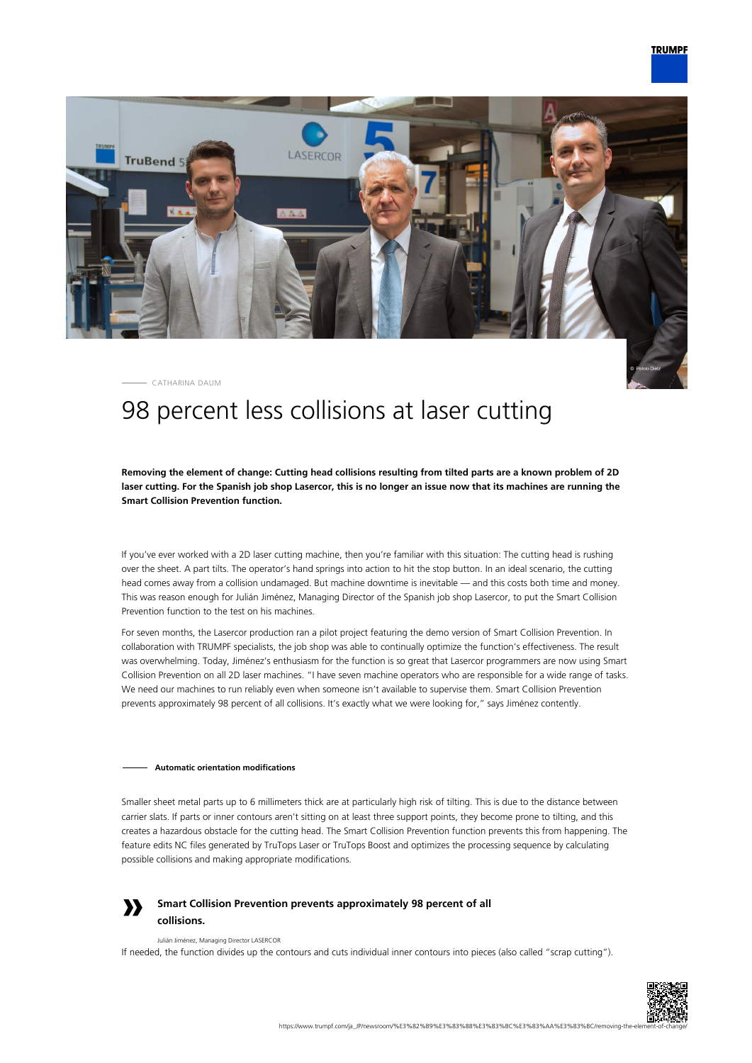

CATHARINA DAUM

# 98 percent less collisions at laser cutting

## **Removing the element of change: Cutting head collisions resulting from tilted parts are a known problem of 2D laser cutting. For the Spanish job shop Lasercor, this is no longer an issue now that its machines are running the Smart Collision Prevention function.**

If you've ever worked with a 2D laser cutting machine, then you're familiar with this situation: The cutting head is rushing over the sheet. A part tilts. The operator's hand springs into action to hit the stop button. In an ideal scenario, the cutting head comes away from a collision undamaged. But machine downtime is inevitable — and this costs both time and money. This was reason enough for Julián Jiménez, Managing Director of the Spanish job shop Lasercor, to put the Smart Collision Prevention function to the test on his machines.

For seven months, the Lasercor production ran a pilot project featuring the demo version of Smart Collision Prevention. In collaboration with TRUMPF specialists, the job shop was able to continually optimize the function's effectiveness. The result was overwhelming. Today, Jiménez's enthusiasm for the function is so great that Lasercor programmers are now using Smart Collision Prevention on all 2D laser machines. "I have seven machine operators who are responsible for a wide range of tasks. We need our machines to run reliably even when someone isn't available to supervise them. Smart Collision Prevention prevents approximately 98 percent of all collisions. It's exactly what we were looking for," says Jiménez contently.

### **Automatic orientation modifications**

Smaller sheet metal parts up to 6 millimeters thick are at particularly high risk of tilting. This is due to the distance between carrier slats. If parts or inner contours aren't sitting on at least three support points, they become prone to tilting, and this creates a hazardous obstacle for the cutting head. The Smart Collision Prevention function prevents this from happening. The feature edits NC files generated by TruTops Laser or TruTops Boost and optimizes the processing sequence by calculating possible collisions and making appropriate modifications.



# **Smart Collision Prevention prevents approximately 98 percent of all collisions.**

#### Julián Jiménez, Managing Director LASERCOR

If needed, the function divides up the contours and cuts individual inner contours into pieces (also called "scrap cutting").

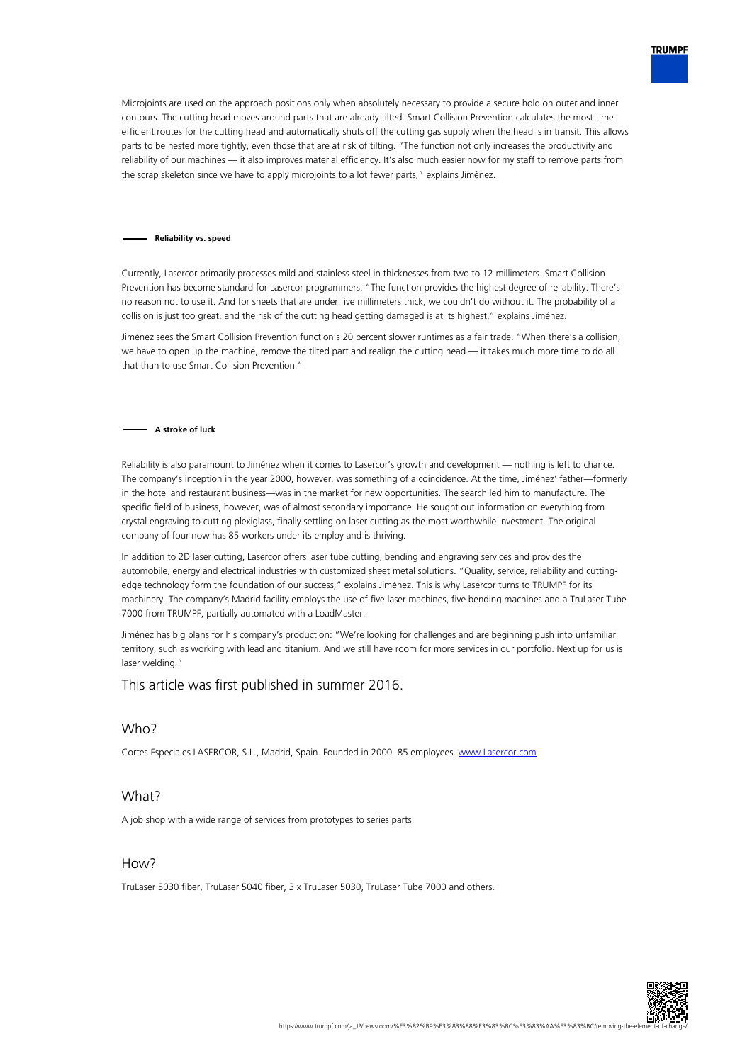

Microjoints are used on the approach positions only when absolutely necessary to provide a secure hold on outer and inner contours. The cutting head moves around parts that are already tilted. Smart Collision Prevention calculates the most timeefficient routes for the cutting head and automatically shuts off the cutting gas supply when the head is in transit. This allows parts to be nested more tightly, even those that are at risk of tilting. "The function not only increases the productivity and reliability of our machines — it also improves material efficiency. It's also much easier now for my staff to remove parts from the scrap skeleton since we have to apply microjoints to a lot fewer parts," explains Jiménez.

#### **Reliability vs. speed**

Currently, Lasercor primarily processes mild and stainless steel in thicknesses from two to 12 millimeters. Smart Collision Prevention has become standard for Lasercor programmers. "The function provides the highest degree of reliability. There's no reason not to use it. And for sheets that are under five millimeters thick, we couldn't do without it. The probability of a collision is just too great, and the risk of the cutting head getting damaged is at its highest," explains Jiménez.

Jiménez sees the Smart Collision Prevention function's 20 percent slower runtimes as a fair trade. "When there's a collision, we have to open up the machine, remove the tilted part and realign the cutting head — it takes much more time to do all that than to use Smart Collision Prevention."

#### **A stroke of luck**

Reliability is also paramount to Jiménez when it comes to Lasercor's growth and development — nothing is left to chance. The company's inception in the year 2000, however, was something of a coincidence. At the time, Jiménez' father—formerly in the hotel and restaurant business—was in the market for new opportunities. The search led him to manufacture. The specific field of business, however, was of almost secondary importance. He sought out information on everything from crystal engraving to cutting plexiglass, finally settling on laser cutting as the most worthwhile investment. The original company of four now has 85 workers under its employ and is thriving.

In addition to 2D laser cutting, Lasercor offers laser tube cutting, bending and engraving services and provides the automobile, energy and electrical industries with customized sheet metal solutions. "Quality, service, reliability and cuttingedge technology form the foundation of our success," explains Jiménez. This is why Lasercor turns to TRUMPF for its machinery. The company's Madrid facility employs the use of five laser machines, five bending machines and a TruLaser Tube 7000 from TRUMPF, partially automated with a LoadMaster.

Jiménez has big plans for his company's production: "We're looking for challenges and are beginning push into unfamiliar territory, such as working with lead and titanium. And we still have room for more services in our portfolio. Next up for us is laser welding."

# This article was first published in summer 2016.

# Who?

Cortes Especiales LASERCOR, S.L., Madrid, Spain. Founded in 2000. 85 employees. [www.Lasercor.com](http://www.Lasercor.com)

# What?

A job shop with a wide range of services from prototypes to series parts.

# How?

TruLaser 5030 fiber, TruLaser 5040 fiber, 3 x TruLaser 5030, TruLaser Tube 7000 and others.